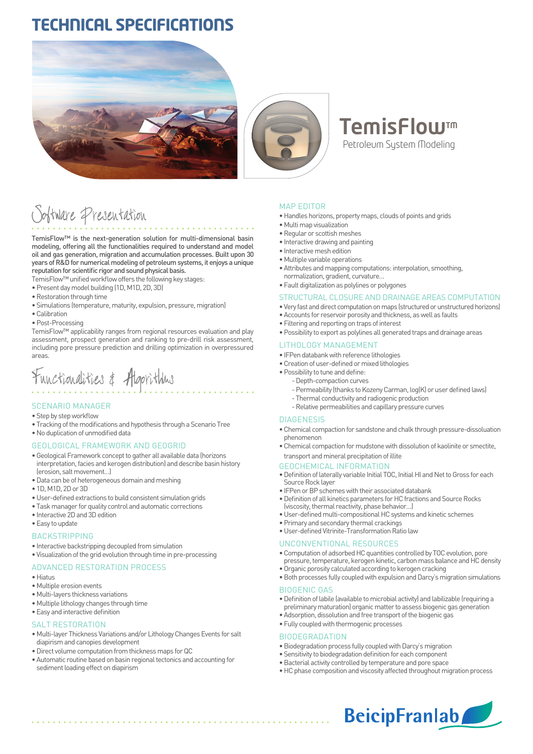# **TECHNICAL SPECIFICATIONS**





# **TemisFlow**™ Petroleum System Modeling

# Software Presentation

TemisFlow™ is the next-generation solution for multi-dimensional basin modeling, offering all the functionalities required to understand and model oil and gas generation, migration and accumulation processes. Built upon 30 years of R&D for numerical modeling of petroleum systems, it enjoys a unique reputation for scientific rigor and sound physical basis.

TemisFlow™ unified workflow offers the following key stages:

- Present day model building (1D, M1D, 2D, 3D)
- Restoration through time
- Simulations (temperature, maturity, expulsion, pressure, migration)
- Calibration
- Post-Processing

TemisFlow™ applicability ranges from regional resources evaluation and play assessment, prospect generation and ranking to pre-drill risk assessment, including pore pressure prediction and drilling optimization in overpressured areas.

# Functionalities & Algorithms

#### SCENARIO MANAGER

- Step by step workflow
- Tracking of the modifications and hypothesis through a Scenario Tree
- No duplication of unmodified data

#### GEOLOGICAL FRAMEWORK AND GEOGRID

- Geological Framework concept to gather all available data (horizons interpretation, facies and kerogen distribution) and describe basin history (erosion, salt movement…)
- Data can be of heterogeneous domain and meshing
- 1D, M1D, 2D or 3D
- User-defined extractions to build consistent simulation grids
- Task manager for quality control and automatic corrections
- Interactive 2D and 3D edition
- Easy to update

#### **BACKSTRIPPING**

- Interactive backstripping decoupled from simulation
- Visualization of the grid evolution through time in pre-processing

### ADVANCED RESTORATION PROCESS

- Hiatus
- Multiple erosion events
- Multi-layers thickness variations
- Multiple lithology changes through time
- Easy and interactive definition

#### SALT RESTORATION

- Multi-layer Thickness Variations and/or Lithology Changes Events for salt diapirism and canopies development
- Direct volume computation from thickness maps for QC
- Automatic routine based on basin regional tectonics and accounting for sediment loading effect on diapirism

#### MAP EDITOR

- Handles horizons, property maps, clouds of points and grids
- Multi map visualization
- Regular or scottish meshes
- Interactive drawing and painting
- Interactive mesh edition
- Multiple variable operations
- Attributes and mapping computations: interpolation, smoothing, normalization, gradient, curvature…
- Fault digitalization as polylines or polygones

#### STRUCTURAL CLOSURE AND DRAINAGE AREAS COMPUTATION

- Very fast and direct computation on maps (structured or unstructured horizons)
- Accounts for reservoir porosity and thickness, as well as faults
- Filtering and reporting on traps of interest
- Possibility to export as polylines all generated traps and drainage areas

#### LITHOLOGY MANAGEMENT

- IFPen databank with reference lithologies
- Creation of user-defined or mixed lithologies
- Possibility to tune and define:
	- Depth-compaction curves
	- Permeability (thanks to Kozeny Carman, log(K) or user defined laws)
	- Thermal conductivity and radiogenic production
	- Relative permeabilities and capillary pressure curves

#### DIAGENESIS

- Chemical compaction for sandstone and chalk through pressure-dissoluation phenomenon
- Chemical compaction for mudstone with dissolution of kaolinite or smectite, transport and mineral precipitation of illite

#### GEOCHEMICAL INFORMATION

- Definition of laterally variable Initial TOC, Initial HI and Net to Gross for each Source Rock layer
- IFPen or BP schemes with their associated databank
- Definition of all kinetics parameters for HC fractions and Source Rocks (viscosity, thermal reactivity, phase behavior…)
- User-defined multi-compositional HC systems and kinetic schemes
- Primary and secondary thermal crackings
- User-defined Vitrinite-Transformation Ratio law

#### UNCONVENTIONAL RESOURCES

- Computation of adsorbed HC quantities controlled by TOC evolution, pore pressure, temperature, kerogen kinetic, carbon mass balance and HC density
- Organic porosity calculated according to kerogen cracking
- Both processes fully coupled with expulsion and Darcy's migration simulations

#### BIOGENIC GAS

- Definition of labile (available to microbial activity) and labilizable (requiring a preliminary maturation) organic matter to assess biogenic gas generation
- Adsorption, dissolution and free transport of the biogenic gas
- Fully coupled with thermogenic processes

#### BIODEGRADATION

- Biodegradation process fully coupled with Darcy's migration
- Sensitivity to biodegradation definition for each component
- Bacterial activity controlled by temperature and pore space
- HC phase composition and viscosity affected throughout migration process